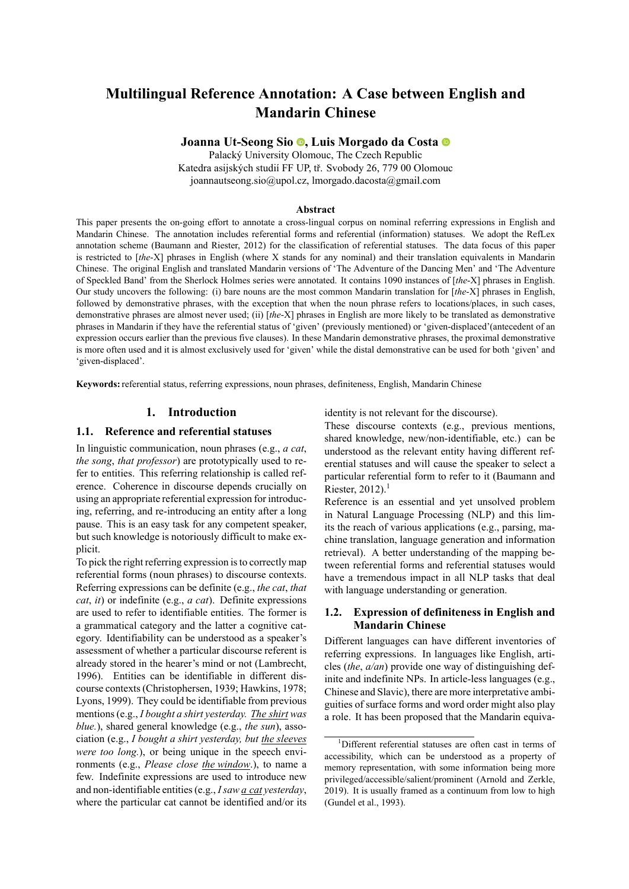# **Multilingual Reference Annotation: A Case between English and Mandarin Chinese**

**Joanna Ut-Seong Sio [,](https://orcid.org/0000-0002-0949-5957) Luis Morgado da Costa**

Palacký University Olomouc, The Czech Republic Katedra asijských studií FF UP, tř. Svobody 26, 779 00 Olomouc joannautseong.sio@upol.cz, lmorgado.dacosta@gmail.com

#### **Abstract**

This paper presents the on-going effort to annotate a cross-lingual corpus on nominal referring expressions in English and Mandarin Chinese. The annotation includes referential forms and referential (information) statuses. We adopt the RefLex annotation scheme [\(Baumann and Riester, 2012\)](#page-7-0) for the classification of referential statuses. The data focus of this paper is restricted to [*the*-X] phrases in English (where X stands for any nominal) and their translation equivalents in Mandarin Chinese. The original English and translated Mandarin versions of 'The Adventure of the Dancing Men' and 'The Adventure of Speckled Band' from the Sherlock Holmes series were annotated. It contains 1090 instances of [*the*-X] phrases in English. Our study uncovers the following: (i) bare nouns are the most common Mandarin translation for [*the*-X] phrases in English, followed by demonstrative phrases, with the exception that when the noun phrase refers to locations/places, in such cases, demonstrative phrases are almost never used; (ii) [*the*-X] phrases in English are more likely to be translated as demonstrative phrases in Mandarin if they have the referential status of 'given' (previously mentioned) or 'given-displaced'(antecedent of an expression occurs earlier than the previous five clauses). In these Mandarin demonstrative phrases, the proximal demonstrative is more often used and it is almost exclusively used for 'given' while the distal demonstrative can be used for both 'given' and 'given-displaced'.

**Keywords:** referential status, referring expressions, noun phrases, definiteness, English, Mandarin Chinese

## **1. Introduction**

## **1.1. Reference and referential statuses**

In linguistic communication, noun phrases (e.g., *a cat*, *the song*, *that professor*) are prototypically used to refer to entities. This referring relationship is called reference. Coherence in discourse depends crucially on using an appropriate referential expression for introducing, referring, and re-introducing an entity after a long pause. This is an easy task for any competent speaker, but such knowledge is notoriously difficult to make explicit.

To pick the right referring expression is to correctly map referential forms (noun phrases) to discourse contexts. Referring expressions can be definite (e.g., *the cat*, *that cat*, *it*) or indefinite (e.g., *a cat*). Definite expressions are used to refer to identifiable entities. The former is a grammatical category and the latter a cognitive category. Identifiability can be understood as a speaker's assessment of whether a particular discourse referent is already stored in the hearer's mind or not([Lambrecht,](#page-8-0) [1996\)](#page-8-0). Entities can be identifiable in different discourse contexts [\(Christophersen, 1939;](#page-8-1) [Hawkins, 1978;](#page-8-2) [Lyons, 1999\)](#page-8-3). They could be identifiable from previous mentions (e.g., *I bought a shirt yesterday. The shirt was blue.*), shared general knowledge (e.g., *the sun*), association (e.g., *I bought a shirt yesterday, but the sleeves were too long.*), or being unique in the speech environments (e.g., *Please close the window*.), to name a few. Indefinite expressions are used to introduce new and non-identifiable entities (e.g., *I saw a cat yesterday*, where the particular cat cannot be identified and/or its identity is not relevant for the discourse).

These discourse contexts (e.g., previous mentions, shared knowledge, new/non-identifiable, etc.) can be understood as the relevant entity having different referential statuses and will cause the speaker to select a particular referential form to refer to it([Baumann and](#page-7-0) Riester,  $2012$  $2012$  $2012$ ).<sup>1</sup>

Reference is an essential and yet unsolved problem in Natural Language Processing (NLP) and this limits the reach of various applications (e.g., parsing, machine translation, language generation and information retrieval). A better understanding of the mapping between referential forms and referential statuses would have a tremendous impact in all NLP tasks that deal with language understanding or generation.

#### <span id="page-0-1"></span>**1.2. Expression of definiteness in English and Mandarin Chinese**

Different languages can have different inventories of referring expressions. In languages like English, articles (*the*, *a/an*) provide one way of distinguishing definite and indefinite NPs. In article-less languages (e.g., Chinese and Slavic), there are more interpretative ambiguities of surface forms and word order might also play a role. It has been proposed that the Mandarin equiva-

<span id="page-0-0"></span><sup>1</sup>Different referential statuses are often cast in terms of accessibility, which can be understood as a property of memory representation, with some information being more privileged/accessible/salient/prominent [\(Arnold and Zerkle,](#page-7-1) [2019](#page-7-1)). It is usually framed as a continuum from low to high [\(Gundel et al., 1993\)](#page-8-4).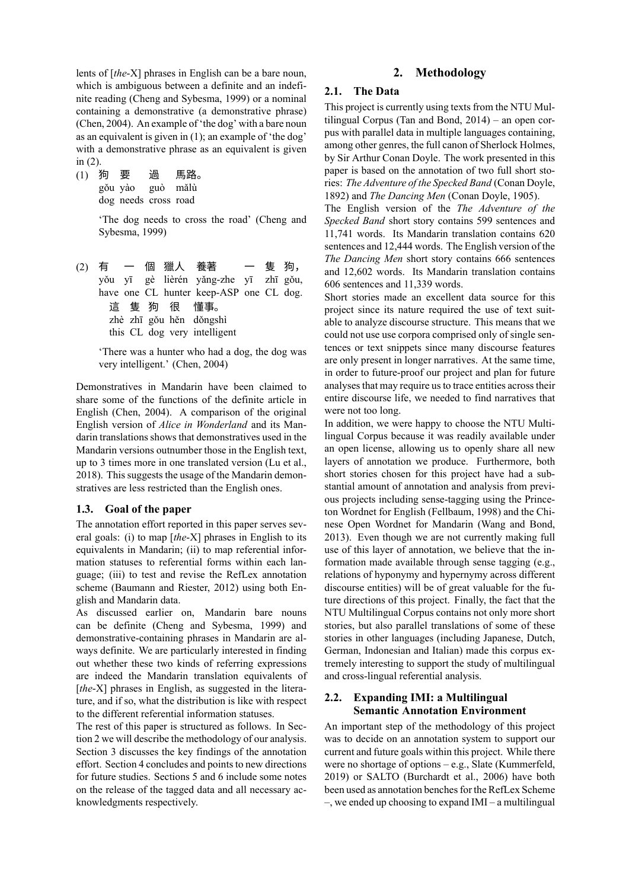lents of [*the*-X] phrases in English can be a bare noun, which is ambiguous between a definite and an indefinite reading([Cheng and Sybesma, 1999](#page-8-5)) or a nominal containing a demonstrative (a demonstrative phrase) [\(Chen, 2004\)](#page-7-2). An example of 'the dog' with a bare noun as an equivalent is given in [\(1](#page-0-1)); an example of 'the dog' with a demonstrative phrase as an equivalent is given in([2\)](#page-0-1).

| (1) 狗 要 |                      | 過 | 馬路。 |
|---------|----------------------|---|-----|
|         | gǒu yào guò mǎlù     |   |     |
|         | dog needs cross road |   |     |

'The dog needs to cross the road' [\(Cheng and](#page-8-5) [Sybesma, 1999](#page-8-5))

(2) 有 yǒu yī have one CL hunter keep-ASP one CL dog.  $\overline{\phantom{0}}$ 個 gè lièrén yǎng-zhe yī 獵人 養著  $\overline{\phantom{0}}$ 隻 zhī gǒu, 狗, 這 隻 狗 zhè zhī gŏu hěn dǒngshì this CL dog very intelligent 很 懂事。

> 'There was a hunter who had a dog, the dog was very intelligent.'([Chen, 2004\)](#page-7-2)

Demonstratives in Mandarin have been claimed to share some of the functions of the definite article in English([Chen, 2004](#page-7-2)). A comparison of the original English version of *Alice in Wonderland* and its Mandarin translations shows that demonstratives used in the Mandarin versions outnumber those in the English text, up to 3 times more in one translated version [\(Lu et al.,](#page-8-6) [2018\)](#page-8-6). This suggests the usage of the Mandarin demonstratives are less restricted than the English ones.

#### **1.3. Goal of the paper**

The annotation effort reported in this paper serves several goals: (i) to map [*the*-X] phrases in English to its equivalents in Mandarin; (ii) to map referential information statuses to referential forms within each language; (iii) to test and revise the RefLex annotation scheme([Baumann and Riester, 2012\)](#page-7-0) using both English and Mandarin data.

As discussed earlier on, Mandarin bare nouns can be definite([Cheng and Sybesma, 1999](#page-8-5)) and demonstrative-containing phrases in Mandarin are always definite. We are particularly interested in finding out whether these two kinds of referring expressions are indeed the Mandarin translation equivalents of [*the-X*] phrases in English, as suggested in the literature, and if so, what the distribution is like with respect to the different referential information statuses.

The rest of this paper is structured as follows. In Section 2 we will describe the methodology of our analysis. Section 3 discusses the key findings of the annotation effort. Section 4 concludes and points to new directions for future studies. Sections 5 and 6 include some notes on the release of the tagged data and all necessary acknowledgments respectively.

## **2. Methodology**

#### **2.1. The Data**

This project is currently using texts from the NTU Multilingual Corpus([Tan and Bond, 2014\)](#page-8-7) – an open corpus with parallel data in multiple languages containing, among other genres, the full canon of Sherlock Holmes, by Sir Arthur Conan Doyle. The work presented in this paper is based on the annotation of two full short stories: *The Adventure of the Specked Band* ([Conan Doyle,](#page-8-8) [1892](#page-8-8)) and *The Dancing Men* ([Conan Doyle, 1905](#page-8-9)).

The English version of the *The Adventure of the Specked Band* short story contains 599 sentences and 11,741 words. Its Mandarin translation contains 620 sentences and 12,444 words. The English version of the *The Dancing Men* short story contains 666 sentences and 12,602 words. Its Mandarin translation contains 606 sentences and 11,339 words.

Short stories made an excellent data source for this project since its nature required the use of text suitable to analyze discourse structure. This means that we could not use use corpora comprised only of single sentences or text snippets since many discourse features are only present in longer narratives. At the same time, in order to future-proof our project and plan for future analyses that may require us to trace entities across their entire discourse life, we needed to find narratives that were not too long.

In addition, we were happy to choose the NTU Multilingual Corpus because it was readily available under an open license, allowing us to openly share all new layers of annotation we produce. Furthermore, both short stories chosen for this project have had a substantial amount of annotation and analysis from previous projects including sense-tagging using the Princeton Wordnet for English([Fellbaum, 1998](#page-8-10)) and the Chinese Open Wordnet for Mandarin([Wang and Bond,](#page-8-11) [2013](#page-8-11)). Even though we are not currently making full use of this layer of annotation, we believe that the information made available through sense tagging (e.g., relations of hyponymy and hypernymy across different discourse entities) will be of great valuable for the future directions of this project. Finally, the fact that the NTU Multilingual Corpus contains not only more short stories, but also parallel translations of some of these stories in other languages (including Japanese, Dutch, German, Indonesian and Italian) made this corpus extremely interesting to support the study of multilingual and cross-lingual referential analysis.

## **2.2. Expanding IMI: a Multilingual Semantic Annotation Environment**

An important step of the methodology of this project was to decide on an annotation system to support our current and future goals within this project. While there were no shortage of options – e.g., Slate [\(Kummerfeld,](#page-8-12) [2019](#page-8-12)) or SALTO([Burchardt et al., 2006](#page-7-3)) have both been used as annotation benches for the RefLex Scheme –, we ended up choosing to expand IMI – a multilingual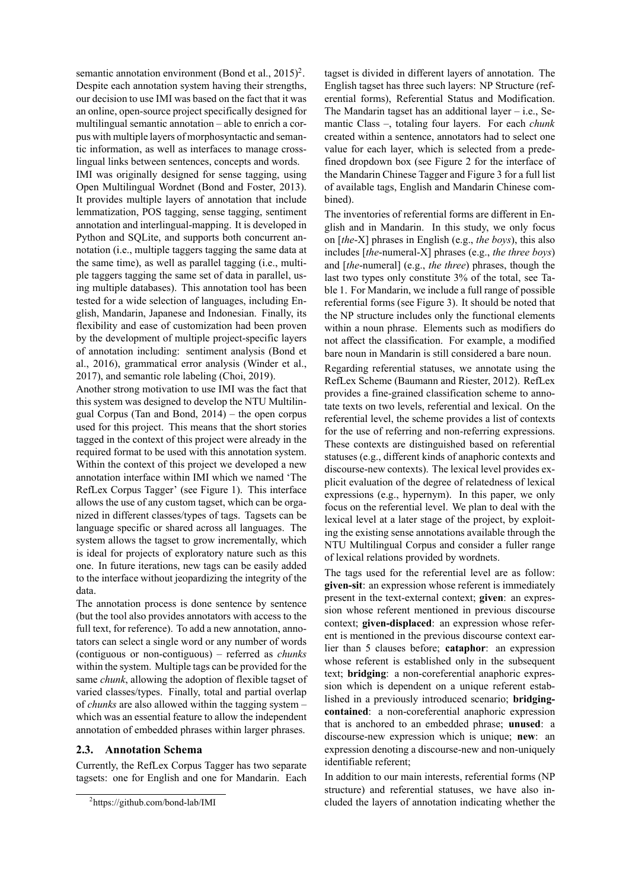semanticannotation environment (Bond et al.,  $2015$  $2015$ )<sup>2</sup>. Despite each annotation system having their strengths, our decision to use IMI was based on the fact that it was an online, open-source project specifically designed for multilingual semantic annotation – able to enrich a corpus with multiple layers of morphosyntactic and semantic information, as well as interfaces to manage crosslingual links between sentences, concepts and words.

IMI was originally designed for sense tagging, using Open Multilingual Wordnet [\(Bond and Foster, 2013](#page-7-5)). It provides multiple layers of annotation that include lemmatization, POS tagging, sense tagging, sentiment annotation and interlingual-mapping. It is developed in Python and SQLite, and supports both concurrent annotation (i.e., multiple taggers tagging the same data at the same time), as well as parallel tagging (i.e., multiple taggers tagging the same set of data in parallel, using multiple databases). This annotation tool has been tested for a wide selection of languages, including English, Mandarin, Japanese and Indonesian. Finally, its flexibility and ease of customization had been proven by the development of multiple project-specific layers of annotation including: sentiment analysis([Bond et](#page-7-6) [al., 2016](#page-7-6)), grammatical error analysis([Winder et al.,](#page-8-13) [2017\)](#page-8-13), and semantic role labeling([Choi, 2019](#page-8-14)).

Another strong motivation to use IMI was the fact that this system was designed to develop the NTU Multilingual Corpus([Tan and Bond, 2014\)](#page-8-7) – the open corpus used for this project. This means that the short stories tagged in the context of this project were already in the required format to be used with this annotation system. Within the context of this project we developed a new annotation interface within IMI which we named 'The RefLex Corpus Tagger' (see Figure [1\)](#page-3-0). This interface allows the use of any custom tagset, which can be organized in different classes/types of tags. Tagsets can be language specific or shared across all languages. The system allows the tagset to grow incrementally, which is ideal for projects of exploratory nature such as this one. In future iterations, new tags can be easily added to the interface without jeopardizing the integrity of the data.

The annotation process is done sentence by sentence (but the tool also provides annotators with access to the full text, for reference). To add a new annotation, annotators can select a single word or any number of words (contiguous or non-contiguous) – referred as *chunks* within the system. Multiple tags can be provided for the same *chunk*, allowing the adoption of flexible tagset of varied classes/types. Finally, total and partial overlap of *chunks* are also allowed within the tagging system – which was an essential feature to allow the independent annotation of embedded phrases within larger phrases.

#### **2.3. Annotation Schema**

Currently, the RefLex Corpus Tagger has two separate tagsets: one for English and one for Mandarin. Each

tagset is divided in different layers of annotation. The English tagset has three such layers: NP Structure (referential forms), Referential Status and Modification. The Mandarin tagset has an additional layer  $-$  i.e., Semantic Class –, totaling four layers. For each *chunk* created within a sentence, annotators had to select one value for each layer, which is selected from a predefined dropdown box (see Figure [2](#page-3-1) for the interface of the Mandarin Chinese Tagger and Figure [3](#page-4-0) for a full list of available tags, English and Mandarin Chinese combined).

The inventories of referential forms are different in English and in Mandarin. In this study, we only focus on [*the*-X] phrases in English (e.g., *the boys*), this also includes [*the*-numeral-X] phrases (e.g., *the three boys*) and [*the*-numeral] (e.g., *the three*) phrases, though the last two types only constitute 3% of the total, see Table [1](#page-4-1). For Mandarin, we include a full range of possible referential forms (see Figure [3\)](#page-4-0). It should be noted that the NP structure includes only the functional elements within a noun phrase. Elements such as modifiers do not affect the classification. For example, a modified bare noun in Mandarin is still considered a bare noun.

Regarding referential statuses, we annotate using the RefLex Scheme([Baumann and Riester, 2012\)](#page-7-0). RefLex provides a fine-grained classification scheme to annotate texts on two levels, referential and lexical. On the referential level, the scheme provides a list of contexts for the use of referring and non-referring expressions. These contexts are distinguished based on referential statuses (e.g., different kinds of anaphoric contexts and discourse-new contexts). The lexical level provides explicit evaluation of the degree of relatedness of lexical expressions (e.g., hypernym). In this paper, we only focus on the referential level. We plan to deal with the lexical level at a later stage of the project, by exploiting the existing sense annotations available through the NTU Multilingual Corpus and consider a fuller range of lexical relations provided by wordnets.

The tags used for the referential level are as follow: **given-sit**: an expression whose referent is immediately present in the text-external context; **given**: an expression whose referent mentioned in previous discourse context; **given-displaced**: an expression whose referent is mentioned in the previous discourse context earlier than 5 clauses before; **cataphor**: an expression whose referent is established only in the subsequent text; **bridging**: a non-coreferential anaphoric expression which is dependent on a unique referent established in a previously introduced scenario; **bridgingcontained**: a non-coreferential anaphoric expression that is anchored to an embedded phrase; **unused**: a discourse-new expression which is unique; **new**: an expression denoting a discourse-new and non-uniquely identifiable referent;

In addition to our main interests, referential forms (NP structure) and referential statuses, we have also included the layers of annotation indicating whether the

<span id="page-2-0"></span><sup>2</sup> https://github.com/bond-lab/IMI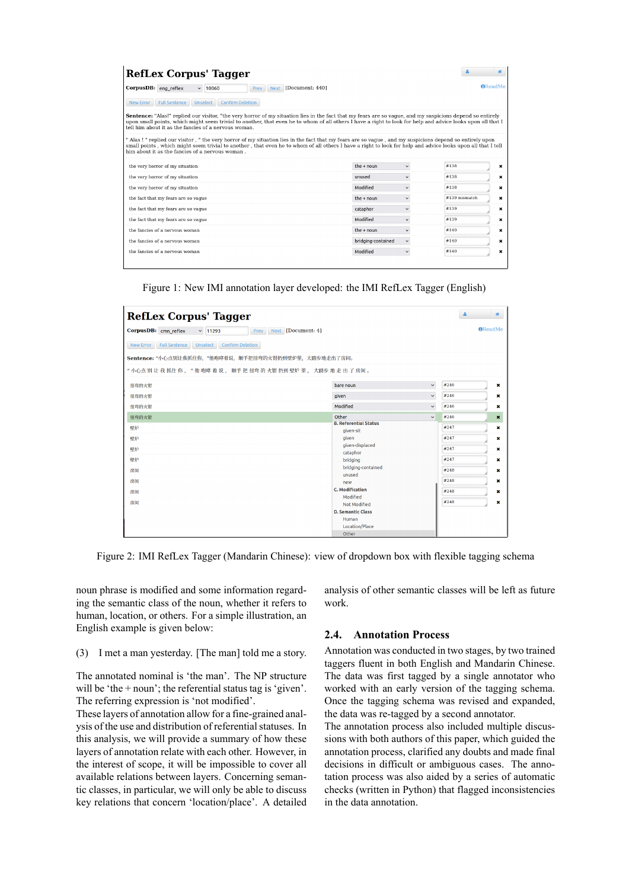| RefLex Corpus' Tagger                                                                                                                                                                                                                                                                                                                                                            |                    |              |                 | 誉              |
|----------------------------------------------------------------------------------------------------------------------------------------------------------------------------------------------------------------------------------------------------------------------------------------------------------------------------------------------------------------------------------|--------------------|--------------|-----------------|----------------|
| CorpusDB: eng reflex<br>Next [Document: 440]<br>$\times$ 10060<br>Prev                                                                                                                                                                                                                                                                                                           |                    |              |                 | <b>AReadMe</b> |
| <b>Full Sentence</b><br><b>Unselect</b><br><b>Confirm Deletion</b><br><b>New Error</b>                                                                                                                                                                                                                                                                                           |                    |              |                 |                |
| Sentence: "Alas!" replied our visitor, "the very horror of my situation lies in the fact that my fears are so vaque, and my suspicions depend so entirely<br>upon small points, which might seem trivial to another, that even he to whom of all others I have a right to look for help and advice looks upon all that I<br>tell him about it as the fancies of a nervous woman. |                    |              |                 |                |
| " Alas ! " replied our visitor, " the very horror of my situation lies in the fact that my fears are so vague, and my suspicions depend so entirely upon<br>small points, which might seem trivial to another, that even he to whom of all others I have a right to look for help and advice looks upon all that I tell<br>him about it as the fancies of a nervous woman.       |                    |              |                 |                |
|                                                                                                                                                                                                                                                                                                                                                                                  |                    |              |                 |                |
| the very horror of my situation                                                                                                                                                                                                                                                                                                                                                  | the $+$ noun       | $\check{~}$  | #138            | ×              |
| the very horror of my situation                                                                                                                                                                                                                                                                                                                                                  | unused             | $\checkmark$ | #138            | ×              |
| the very horror of my situation                                                                                                                                                                                                                                                                                                                                                  | Modified           | $\checkmark$ | #138            | ×              |
| the fact that my fears are so vague                                                                                                                                                                                                                                                                                                                                              | the $+$ noun       | $\checkmark$ | $#139$ mismatch | ×              |
| the fact that my fears are so vaque                                                                                                                                                                                                                                                                                                                                              | cataphor           | $\checkmark$ | #139            | ×              |
| the fact that my fears are so vaque                                                                                                                                                                                                                                                                                                                                              | Modified           | $\checkmark$ | #139            | ×              |
| the fancies of a nervous woman                                                                                                                                                                                                                                                                                                                                                   | the $+$ noun       | $\checkmark$ | #140            | ×              |
| the fancies of a nervous woman                                                                                                                                                                                                                                                                                                                                                   | bridging-contained | $\check{~}$  | #140            | ×              |

<span id="page-3-0"></span>Figure 1: New IMI annotation layer developed: the IMI RefLex Tagger (English)

| <b>RefLex Corpus' Tagger</b>                                             |                                           |              | Δ    | 骨              |
|--------------------------------------------------------------------------|-------------------------------------------|--------------|------|----------------|
| CorpusDB: cmn_reflex<br>~11293<br>Prev                                   | Next [Document: 4]                        |              |      | <b>OReadMe</b> |
| <b>Confirm Deletion</b><br><b>Full Sentence</b><br>Unselect<br>New Error |                                           |              |      |                |
| Sentence: "小心点别让我抓住你, "他咆哮着说, 顺手把扭弯的火钳扔到壁炉里, 大踏步地走出了房间。                  |                                           |              |      |                |
| "小心点别让我抓住你, "他咆哮着说, 顺手把扭弯的火钳扔到壁炉里, 大踏步地走出了房间。                            |                                           |              |      |                |
| 扭弯的火钳                                                                    | bare noun                                 | $\checkmark$ | #246 | $\pmb{\times}$ |
| 扭弯的火钳                                                                    | given                                     | $\check{~}$  | #246 | ×              |
| 扭弯的火钳                                                                    | Modified                                  | $\checkmark$ | #246 | ×              |
| 扭弯的火钳                                                                    | Other                                     | $\checkmark$ | #246 | $\pmb{\times}$ |
| 壁炉                                                                       | <b>B. Referential Status</b><br>given-sit |              | #247 | ×              |
| 壁炉                                                                       | given                                     |              | #247 | ×              |
| 壁炉                                                                       | given-displaced<br>cataphor               |              | #247 | ×              |
| 壁炉                                                                       | bridging                                  |              | #247 | $\mathbf x$    |
| 房间                                                                       | bridging-contained                        |              | #248 | ×              |
| 房间                                                                       | unused<br>new                             |              | #248 | ×              |
| 房间                                                                       | <b>C. Modification</b>                    |              | #248 | ×              |
| 房间                                                                       | Modified<br>Not Modified                  |              | #248 | ×              |
|                                                                          | <b>D. Semantic Class</b>                  |              |      |                |
|                                                                          | Human                                     |              |      |                |
|                                                                          | Location/Place                            |              |      |                |
|                                                                          | Other                                     |              |      |                |

<span id="page-3-1"></span>Figure 2: IMI RefLex Tagger (Mandarin Chinese): view of dropdown box with flexible tagging schema

noun phrase is modified and some information regarding the semantic class of the noun, whether it refers to human, location, or others. For a simple illustration, an English example is given below:

(3) I met a man yesterday. [The man] told me a story.

The annotated nominal is 'the man'. The NP structure will be 'the + noun'; the referential status tag is 'given'. The referring expression is 'not modified'.

These layers of annotation allow for a fine-grained analysis of the use and distribution of referential statuses. In this analysis, we will provide a summary of how these layers of annotation relate with each other. However, in the interest of scope, it will be impossible to cover all available relations between layers. Concerning semantic classes, in particular, we will only be able to discuss key relations that concern 'location/place'. A detailed analysis of other semantic classes will be left as future work.

## **2.4. Annotation Process**

Annotation was conducted in two stages, by two trained taggers fluent in both English and Mandarin Chinese. The data was first tagged by a single annotator who worked with an early version of the tagging schema. Once the tagging schema was revised and expanded, the data was re-tagged by a second annotator.

The annotation process also included multiple discussions with both authors of this paper, which guided the annotation process, clarified any doubts and made final decisions in difficult or ambiguous cases. The annotation process was also aided by a series of automatic checks (written in Python) that flagged inconsistencies in the data annotation.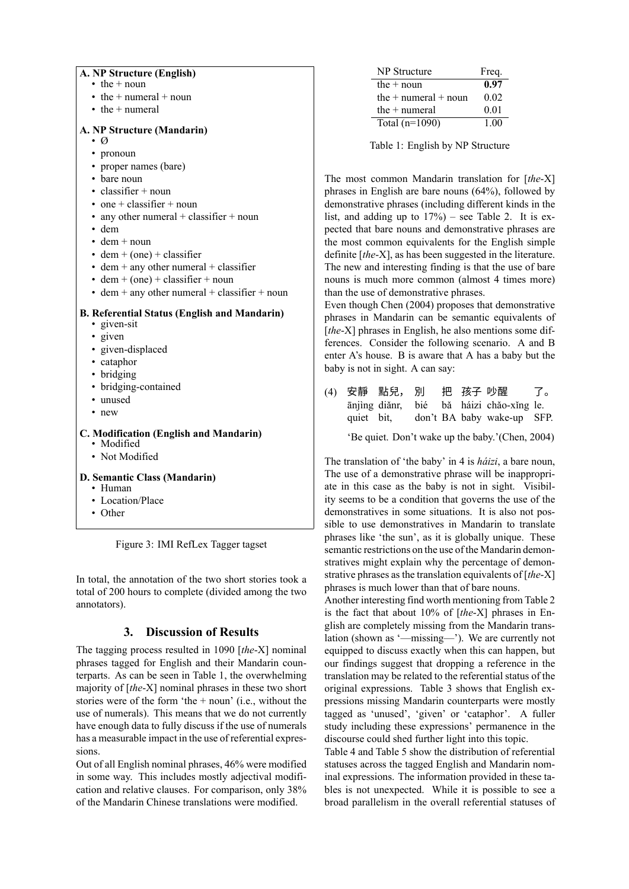| A. NP Structure (English)<br>$\cdot$ the + noun       |                            |
|-------------------------------------------------------|----------------------------|
| $\bullet$ the + numeral + noun                        |                            |
| $\cdot$ the $+$ numeral                               |                            |
|                                                       |                            |
| A. NP Structure (Mandarin)                            |                            |
| • 0                                                   |                            |
| • pronoun                                             |                            |
| • proper names (bare)                                 |                            |
| • bare noun                                           | The most                   |
| $\cdot$ classifier + noun                             | phrases in                 |
| • one + classifier + noun                             | demonstra                  |
| • any other numeral $+$ classifier $+$ noun           | list, and a                |
| • dem                                                 | pected tha                 |
| $\cdot$ dem + noun                                    | the most of                |
| $\cdot$ dem + (one) + classifier                      | definite $\lceil t \rceil$ |
| $\bullet$ dem + any other numeral + classifier        | The new a                  |
| $\cdot$ dem + (one) + classifier + noun               | nouns is n                 |
| $\bullet$ dem + any other numeral + classifier + noun | than the us                |
|                                                       | Even thou                  |
| <b>B. Referential Status (English and Mandarin)</b>   | phrases in                 |
| • given-sit                                           | [the-X] ph                 |
| • given                                               | ferences.                  |
| · given-displaced                                     | enter A's h                |
| • cataphor                                            | baby is not                |
| • bridging                                            |                            |
| • bridging-contained                                  | 安靜<br>(4)                  |
| · unused                                              | ānjìn                      |
| • new                                                 | quiet                      |
| C. Modification (English and Mandarin)                |                            |
| • Modified                                            | 'Be c                      |
| • Not Modified                                        | The transla                |
|                                                       | The use of                 |
| D. Semantic Class (Mandarin)                          | ate in this                |
| • Human                                               |                            |
| Location/Place                                        | ity seems                  |
| • Other                                               | demonstra                  |

<span id="page-4-0"></span>Figure 3: IMI RefLex Tagger tagset

In total, the annotation of the two short stories took a total of 200 hours to complete (divided among the two annotators).

# **3. Discussion of Results**

The tagging process resulted in 1090 [*the*-X] nominal phrases tagged for English and their Mandarin counterparts. As can be seen in Table [1](#page-4-1), the overwhelming majority of [*the*-X] nominal phrases in these two short stories were of the form 'the + noun' (i.e., without the use of numerals). This means that we do not currently have enough data to fully discuss if the use of numerals has a measurable impact in the use of referential expressions.

Out of all English nominal phrases, 46% were modified in some way. This includes mostly adjectival modification and relative clauses. For comparison, only 38% of the Mandarin Chinese translations were modified.

| NP Structure             | Freq. |
|--------------------------|-------|
| the $+$ noun             | 0.97  |
| the $+$ numeral $+$ noun | 0.02  |
| the $+$ numeral          | 0.01  |
| Total $(n=1090)$         | 1.00  |

<span id="page-4-1"></span>Table 1: English by NP Structure

common Mandarin translation for [*the-X*] English are bare nouns  $(64%)$ , followed by tive phrases (including different kinds in the dding up to  $17\%$ ) – see Table [2](#page-5-0). It is ext bare nouns and demonstrative phrases are common equivalents for the English simple *he*-X], as has been suggested in the literature. Inding is that the use of bare nuch more common (almost 4 times more) se of demonstrative phrases.

gh [Chen \(2004\)](#page-7-2) proposes that demonstrative Mandarin can be semantic equivalents of rases in English, he also mentions some dif-Consider the following scenario. A and B house. B is aware that A has a baby but the  $t$  in sight. A can say:

ānjìng diǎnr, 點兒, bit, 別 bié don't BA baby wake-up 把 bǎ háizi chǎo-xǐng le. 孩子 吵醒 了。 SFP.

quiet. Don't wake up the baby.'[\(Chen, 2004](#page-7-2))

ation of 'the baby' in [4](#page-4-1) is *háizi*, a bare noun, a demonstrative phrase will be inappropricase as the baby is not in sight. Visibilto be a condition that governs the use of the demonstratives in some situations. It is also not possible to use demonstratives in Mandarin to translate phrases like 'the sun', as it is globally unique. These semantic restrictions on the use of the Mandarin demonstratives might explain why the percentage of demonstrative phrases as the translation equivalents of [*the*-X] phrases is much lower than that of bare nouns.

Another interesting find worth mentioning from Table [2](#page-5-0) is the fact that about 10% of [*the*-X] phrases in English are completely missing from the Mandarin translation (shown as '—missing—'). We are currently not equipped to discuss exactly when this can happen, but our findings suggest that dropping a reference in the translation may be related to the referential status of the original expressions. Table [3](#page-5-1) shows that English expressions missing Mandarin counterparts were mostly tagged as 'unused', 'given' or 'cataphor'. A fuller study including these expressions' permanence in the discourse could shed further light into this topic.

Table [4](#page-5-2) and Table [5](#page-5-3) show the distribution of referential statuses across the tagged English and Mandarin nominal expressions. The information provided in these tables is not unexpected. While it is possible to see a broad parallelism in the overall referential statuses of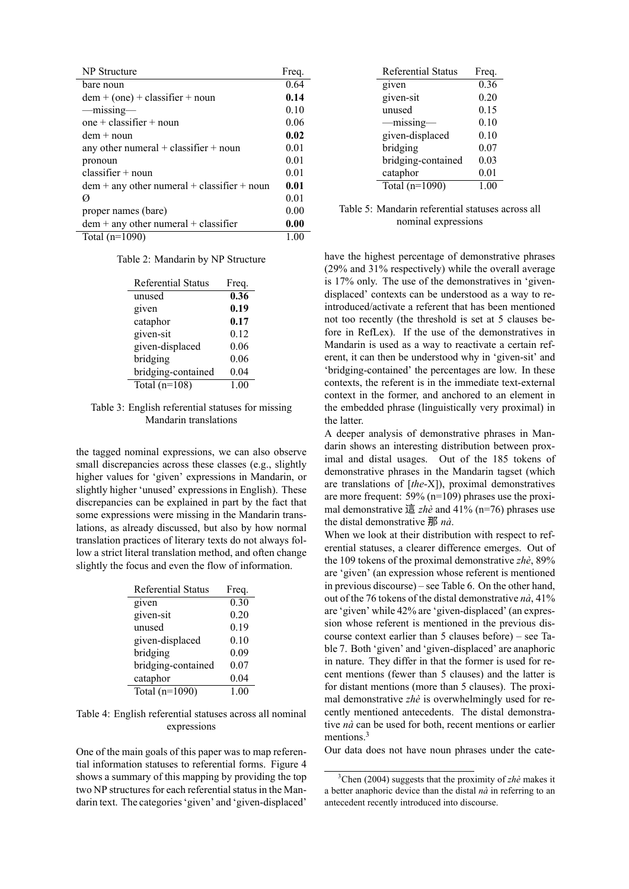| <b>NP</b> Structure                           | Freq. |
|-----------------------------------------------|-------|
| bare noun                                     | 0.64  |
| $dem + (one) + classifier + noun$             | 0.14  |
| -missing-                                     | 0.10  |
| one + classifier + noun                       | 0.06  |
| $dem + noun$                                  | 0.02  |
| any other numeral $+$ classifier $+$ noun     | 0.01  |
| pronoun                                       | 0.01  |
| $\text{ classifier} + \text{noun}$            | 0.01  |
| $dem + any other numeral + classifier + noun$ | 0.01  |
| Ø                                             | 0.01  |
| proper names (bare)                           | 0.00  |
| $dem + any other numeral + classifier$        | 0.00  |
| Total $(n=1090)$                              | 1.00  |

Table 2: Mandarin by NP Structure

<span id="page-5-0"></span>

| <b>Referential Status</b> | Freq. |
|---------------------------|-------|
| unused                    | 0.36  |
| given                     | 0.19  |
| cataphor                  | 0.17  |
| given-sit                 | 0.12  |
| given-displaced           | 0.06  |
| bridging                  | 0.06  |
| bridging-contained        | 0.04  |
| Total $(n=108)$           | 1.00  |

## <span id="page-5-1"></span>Table 3: English referential statuses for missing Mandarin translations

the tagged nominal expressions, we can also observe small discrepancies across these classes (e.g., slightly higher values for 'given' expressions in Mandarin, or slightly higher 'unused' expressions in English). These discrepancies can be explained in part by the fact that some expressions were missing in the Mandarin translations, as already discussed, but also by how normal translation practices of literary texts do not always follow a strict literal translation method, and often change slightly the focus and even the flow of information.

| <b>Referential Status</b> | Freq. |
|---------------------------|-------|
| given                     | 0.30  |
| given-sit                 | 0.20  |
| unused                    | 0.19  |
| given-displaced           | 0.10  |
| bridging                  | 0.09  |
| bridging-contained        | 0.07  |
| cataphor                  | 0.04  |
| Total $(n=1090)$          | 1.00  |

<span id="page-5-2"></span>Table 4: English referential statuses across all nominal expressions

One of the main goals of this paper was to map referential information statuses to referential forms. Figure [4](#page-6-0) shows a summary of this mapping by providing the top two NP structures for each referential status in the Mandarin text. The categories 'given' and 'given-displaced'

| <b>Referential Status</b> | Freq. |
|---------------------------|-------|
| $\overline{g}$ iven       | 0.36  |
| given-sit                 | 0.20  |
| unused                    | 0.15  |
| —missing-                 | 0.10  |
| given-displaced           | 0.10  |
| bridging                  | 0.07  |
| bridging-contained        | 0.03  |
| cataphor                  | 0.01  |
| Total $(n=1090)$          | 1.00  |

<span id="page-5-3"></span>Table 5: Mandarin referential statuses across all nominal expressions

have the highest percentage of demonstrative phrases (29% and 31% respectively) while the overall average is 17% only. The use of the demonstratives in 'givendisplaced' contexts can be understood as a way to reintroduced/activate a referent that has been mentioned not too recently (the threshold is set at 5 clauses before in RefLex). If the use of the demonstratives in Mandarin is used as a way to reactivate a certain referent, it can then be understood why in 'given-sit' and 'bridging-contained' the percentages are low. In these contexts, the referent is in the immediate text-external context in the former, and anchored to an element in the embedded phrase (linguistically very proximal) in the latter.

A deeper analysis of demonstrative phrases in Mandarin shows an interesting distribution between proximal and distal usages. Out of the 185 tokens of demonstrative phrases in the Mandarin tagset (which are translations of [*the*-X]), proximal demonstratives are more frequent: 59% (n=109) phrases use the proximal demonstrative 這 *zhè* and 41% (n=76) phrases use the distal demonstrative 那 *nà*.

When we look at their distribution with respect to referential statuses, a clearer difference emerges. Out of the 109 tokens of the proximal demonstrative *zhè*, 89% are 'given' (an expression whose referent is mentioned in previous discourse) – see Table [6](#page-6-1). On the other hand, out of the 76 tokens of the distal demonstrative *nà*, 41% are 'given' while 42% are 'given-displaced' (an expression whose referent is mentioned in the previous discourse context earlier than 5 clauses before) – see Table [7](#page-6-2). Both 'given' and 'given-displaced' are anaphoric in nature. They differ in that the former is used for recent mentions (fewer than 5 clauses) and the latter is for distant mentions (more than 5 clauses). The proximal demonstrative *zhè* is overwhelmingly used for recently mentioned antecedents. The distal demonstrative *nà* can be used for both, recent mentions or earlier mentions.<sup>[3](#page-5-4)</sup>

Our data does not have noun phrases under the cate-

<span id="page-5-4"></span><sup>3</sup>[Chen \(2004\)](#page-7-2) suggests that the proximity of *zhè* makes it a better anaphoric device than the distal *nà* in referring to an antecedent recently introduced into discourse.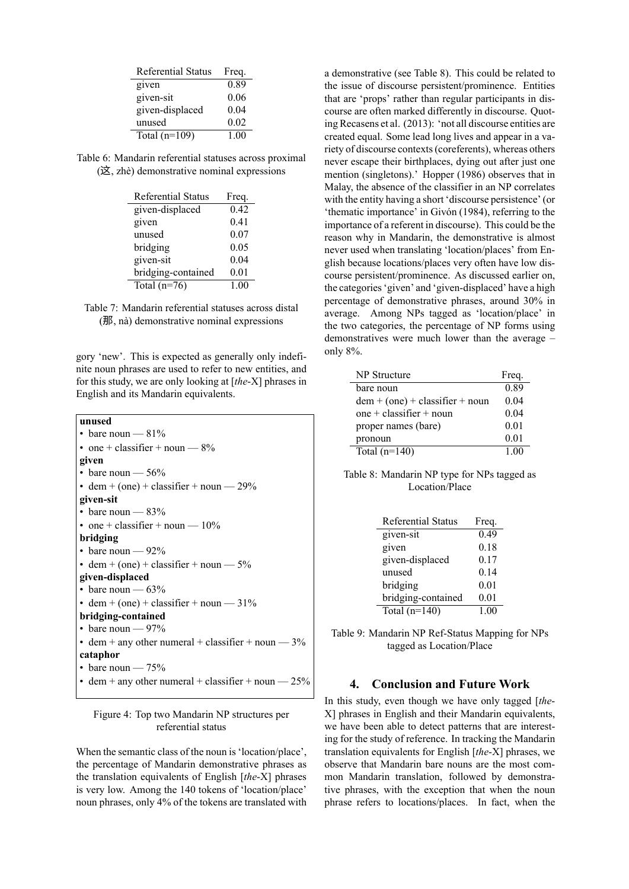| <b>Referential Status</b> | Freq. |
|---------------------------|-------|
| given                     | 0.89  |
| given-sit                 | 0.06  |
| given-displaced           | 0.04  |
| unused                    | 0.02  |
| Total $(n=109)$           | 1.00  |

<span id="page-6-1"></span>Table 6: Mandarin referential statuses across proximal (这, zhè) demonstrative nominal expressions

| Referential Status | Freq. |
|--------------------|-------|
| given-displaced    | 0.42  |
| given              | 0.41  |
| unused             | 0.07  |
| bridging           | 0.05  |
| given-sit          | 0.04  |
| bridging-contained | 0.01  |
| Total $(n=76)$     | 1.00  |

<span id="page-6-2"></span>

gory 'new'. This is expected as generally only indefinite noun phrases are used to refer to new entities, and for this study, we are only looking at [*the*-X] phrases in English and its Mandarin equivalents.

| unused                                                |
|-------------------------------------------------------|
| • bare noun $-81\%$                                   |
| • one + classifier + noun $-8\%$                      |
| given                                                 |
| • bare noun $-56%$                                    |
| • dem + (one) + classifier + noun $-29%$              |
| given-sit                                             |
| • bare noun $-83%$                                    |
| • one + classifier + noun $-10\%$                     |
| bridging                                              |
| • bare noun $-92\%$                                   |
| • dem + (one) + classifier + noun $-5\%$              |
| given-displaced                                       |
| • bare noun $-63%$                                    |
| • dem + (one) + classifier + noun $-31\%$             |
| bridging-contained                                    |
| • bare noun $-97%$                                    |
| • dem + any other numeral + classifier + noun $-3\%$  |
| cataphor                                              |
| • bare noun $-75%$                                    |
| • dem + any other numeral + classifier + noun $-25\%$ |

## <span id="page-6-0"></span>Figure 4: Top two Mandarin NP structures per referential status

When the semantic class of the noun is 'location/place', the percentage of Mandarin demonstrative phrases as the translation equivalents of English [*the*-X] phrases is very low. Among the 140 tokens of 'location/place' noun phrases, only 4% of the tokens are translated with a demonstrative (see Table [8\)](#page-6-3). This could be related to the issue of discourse persistent/prominence. Entities that are 'props' rather than regular participants in discourse are often marked differently in discourse. Quoting [Recasens et al. \(2013](#page-8-15)): 'not all discourse entities are created equal. Some lead long lives and appear in a variety of discourse contexts (coreferents), whereas others never escape their birthplaces, dying out after just one mention (singletons).' [Hopper \(1986](#page-8-16)) observes that in Malay, the absence of the classifier in an NP correlates with the entity having a short 'discourse persistence' (or 'thematic importance' in [Givón \(1984](#page-8-17)), referring to the importance of a referent in discourse). This could be the reason why in Mandarin, the demonstrative is almost never used when translating 'location/places' from English because locations/places very often have low discourse persistent/prominence. As discussed earlier on, the categories 'given' and 'given-displaced' have a high percentage of demonstrative phrases, around 30% in average. Among NPs tagged as 'location/place' in the two categories, the percentage of NP forms using demonstratives were much lower than the average – only 8%.

| NP Structure                      | Freq. |
|-----------------------------------|-------|
| bare noun                         | 0.89  |
| $dem + (one) + classifier + noun$ | 0.04  |
| one + classifier + noun           | 0.04  |
| proper names (bare)               | 0.01  |
| pronoun                           | 0.01  |
| Total $(n=140)$                   | 1.00  |

<span id="page-6-3"></span>Table 8: Mandarin NP type for NPs tagged as Location/Place

| <b>Referential Status</b> | Freq. |
|---------------------------|-------|
| given-sit                 | 0.49  |
| given                     | 0.18  |
| given-displaced           | 0.17  |
| unused                    | 0.14  |
| bridging                  | 0.01  |
| bridging-contained        | 0.01  |
| Total $(n=140)$           | 1.00  |

Table 9: Mandarin NP Ref-Status Mapping for NPs tagged as Location/Place

## **4. Conclusion and Future Work**

In this study, even though we have only tagged [*the*-X] phrases in English and their Mandarin equivalents, we have been able to detect patterns that are interesting for the study of reference. In tracking the Mandarin translation equivalents for English [*the*-X] phrases, we observe that Mandarin bare nouns are the most common Mandarin translation, followed by demonstrative phrases, with the exception that when the noun phrase refers to locations/places. In fact, when the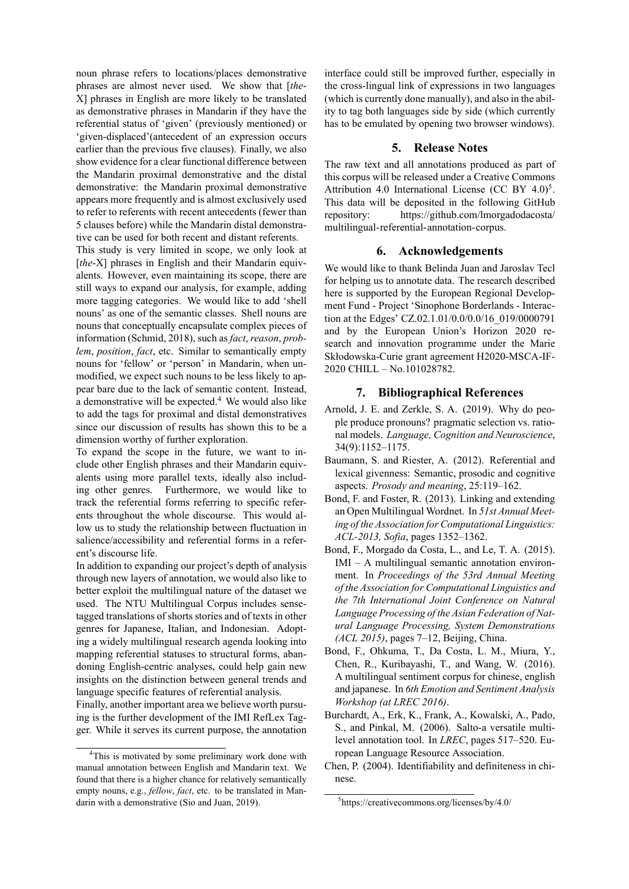noun phrase refers to locations/places demonstrative phrases are almost never used. We show that [*the*-X] phrases in English are more likely to be translated as demonstrative phrases in Mandarin if they have the referential status of 'given' (previously mentioned) or 'given-displaced'(antecedent of an expression occurs earlier than the previous five clauses). Finally, we also show evidence for a clear functional difference between the Mandarin proximal demonstrative and the distal demonstrative: the Mandarin proximal demonstrative appears more frequently and is almost exclusively used to refer to referents with recent antecedents (fewer than 5 clauses before) while the Mandarin distal demonstrative can be used for both recent and distant referents.

This study is very limited in scope, we only look at [*the-X*] phrases in English and their Mandarin equivalents. However, even maintaining its scope, there are still ways to expand our analysis, for example, adding more tagging categories. We would like to add 'shell nouns' as one of the semantic classes. Shell nouns are nouns that conceptually encapsulate complex pieces of information [\(Schmid, 2018](#page-8-18)), such as *fact*, *reason*, *problem*, *position*, *fact*, etc. Similar to semantically empty nouns for 'fellow' or 'person' in Mandarin, when unmodified, we expect such nouns to be less likely to appear bare due to the lack of semantic content. Instead, a demonstrative will be expected.[4](#page-7-7) We would also like to add the tags for proximal and distal demonstratives since our discussion of results has shown this to be a dimension worthy of further exploration.

To expand the scope in the future, we want to include other English phrases and their Mandarin equivalents using more parallel texts, ideally also including other genres. Furthermore, we would like to track the referential forms referring to specific referents throughout the whole discourse. This would allow us to study the relationship between fluctuation in salience/accessibility and referential forms in a referent's discourse life.

In addition to expanding our project's depth of analysis through new layers of annotation, we would also like to better exploit the multilingual nature of the dataset we used. The NTU Multilingual Corpus includes sensetagged translations of shorts stories and of texts in other genres for Japanese, Italian, and Indonesian. Adopting a widely multilingual research agenda looking into mapping referential statuses to structural forms, abandoning English-centric analyses, could help gain new insights on the distinction between general trends and language specific features of referential analysis.

Finally, another important area we believe worth pursuing is the further development of the IMI RefLex Tagger. While it serves its current purpose, the annotation

interface could still be improved further, especially in the cross-lingual link of expressions in two languages (which is currently done manually), and also in the ability to tag both languages side by side (which currently has to be emulated by opening two browser windows).

## **5. Release Notes**

The raw text and all annotations produced as part of this corpus will be released under a Creative Commons Attribution 4.0 International License (CC BY  $4.0$ )<sup>[5](#page-7-8)</sup>. This data will be deposited in the following GitHub repository: [https://github.com/lmorgadodacosta/](https://github.com/lmorgadodacosta/multilingual-referential-annotation-corpus) [multilingual-referential-annotation-corpus.](https://github.com/lmorgadodacosta/multilingual-referential-annotation-corpus)

#### **6. Acknowledgements**

We would like to thank Belinda Juan and Jaroslav Tecl for helping us to annotate data. The research described here is supported by the European Regional Development Fund - Project 'Sinophone Borderlands - Interaction at the Edges' CZ.02.1.01/0.0/0.0/16\_019/0000791 and by the European Union's Horizon 2020 research and innovation programme under the Marie Skłodowska-Curie grant agreement H2020-MSCA-IF-2020 CHILL – No.101028782.

## **7. Bibliographical References**

- <span id="page-7-1"></span>Arnold, J. E. and Zerkle, S. A. (2019). Why do people produce pronouns? pragmatic selection vs. rational models. *Language, Cognition and Neuroscience*, 34(9):1152–1175.
- <span id="page-7-0"></span>Baumann, S. and Riester, A. (2012). Referential and lexical givenness: Semantic, prosodic and cognitive aspects. *Prosody and meaning*, 25:119–162.
- <span id="page-7-5"></span>Bond, F. and Foster, R. (2013). Linking and extending an Open Multilingual Wordnet. In *51st Annual Meeting of the Association for Computational Linguistics: ACL-2013, Sofia*, pages 1352–1362.
- <span id="page-7-4"></span>Bond, F., Morgado da Costa, L., and Le, T. A. (2015). IMI – A multilingual semantic annotation environment. In *Proceedings of the 53rd Annual Meeting of the Association for Computational Linguistics and the 7th International Joint Conference on Natural Language Processing of the Asian Federation of Natural Language Processing, System Demonstrations (ACL 2015)*, pages 7–12, Beijing, China.
- <span id="page-7-6"></span>Bond, F., Ohkuma, T., Da Costa, L. M., Miura, Y., Chen, R., Kuribayashi, T., and Wang, W. (2016). A multilingual sentiment corpus for chinese, english and japanese. In *6th Emotion and Sentiment Analysis Workshop (at LREC 2016)*.
- <span id="page-7-3"></span>Burchardt, A., Erk, K., Frank, A., Kowalski, A., Pado, S., and Pinkal, M. (2006). Salto-a versatile multilevel annotation tool. In *LREC*, pages 517–520. European Language Resource Association.
- <span id="page-7-2"></span>Chen, P. (2004). Identifiability and definiteness in chinese.

<span id="page-7-7"></span><sup>&</sup>lt;sup>4</sup>This is motivated by some preliminary work done with manual annotation between English and Mandarin text. We found that there is a higher chance for relatively semantically empty nouns, e.g., *fellow*, *fact*, etc. to be translated in Mandarin with a demonstrative [\(Sio and Juan, 2019](#page-8-19)).

<span id="page-7-8"></span><sup>5</sup> https://creativecommons.org/licenses/by/4.0/